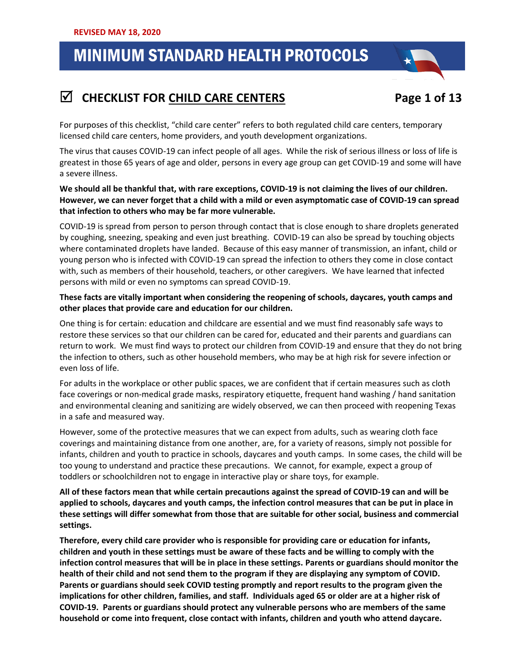## 1. **CHECKLIST FOR CHILD CARE CENTERS Page 1 of 13**



For purposes of this checklist, "child care center" refers to both regulated child care centers, temporary licensed child care centers, home providers, and youth development organizations.

The virus that causes COVID-19 can infect people of all ages. While the risk of serious illness or loss of life is greatest in those 65 years of age and older, persons in every age group can get COVID-19 and some will have a severe illness.

**We should all be thankful that, with rare exceptions, COVID-19 is not claiming the lives of our children. However, we can never forget that a child with a mild or even asymptomatic case of COVID-19 can spread that infection to others who may be far more vulnerable.**

COVID-19 is spread from person to person through contact that is close enough to share droplets generated by coughing, sneezing, speaking and even just breathing. COVID-19 can also be spread by touching objects where contaminated droplets have landed. Because of this easy manner of transmission, an infant, child or young person who is infected with COVID-19 can spread the infection to others they come in close contact with, such as members of their household, teachers, or other caregivers. We have learned that infected persons with mild or even no symptoms can spread COVID-19.

#### **These facts are vitally important when considering the reopening of schools, daycares, youth camps and other places that provide care and education for our children.**

One thing is for certain: education and childcare are essential and we must find reasonably safe ways to restore these services so that our children can be cared for, educated and their parents and guardians can return to work. We must find ways to protect our children from COVID-19 and ensure that they do not bring the infection to others, such as other household members, who may be at high risk for severe infection or even loss of life.

For adults in the workplace or other public spaces, we are confident that if certain measures such as cloth face coverings or non-medical grade masks, respiratory etiquette, frequent hand washing / hand sanitation and environmental cleaning and sanitizing are widely observed, we can then proceed with reopening Texas in a safe and measured way.

However, some of the protective measures that we can expect from adults, such as wearing cloth face coverings and maintaining distance from one another, are, for a variety of reasons, simply not possible for infants, children and youth to practice in schools, daycares and youth camps. In some cases, the child will be too young to understand and practice these precautions. We cannot, for example, expect a group of toddlers or schoolchildren not to engage in interactive play or share toys, for example.

**All of these factors mean that while certain precautions against the spread of COVID-19 can and will be applied to schools, daycares and youth camps, the infection control measures that can be put in place in these settings will differ somewhat from those that are suitable for other social, business and commercial settings.** 

**Therefore, every child care provider who is responsible for providing care or education for infants, children and youth in these settings must be aware of these facts and be willing to comply with the infection control measures that will be in place in these settings. Parents or guardians should monitor the health of their child and not send them to the program if they are displaying any symptom of COVID. Parents or guardians should seek COVID testing promptly and report results to the program given the implications for other children, families, and staff. Individuals aged 65 or older are at a higher risk of COVID-19. Parents or guardians should protect any vulnerable persons who are members of the same household or come into frequent, close contact with infants, children and youth who attend daycare.**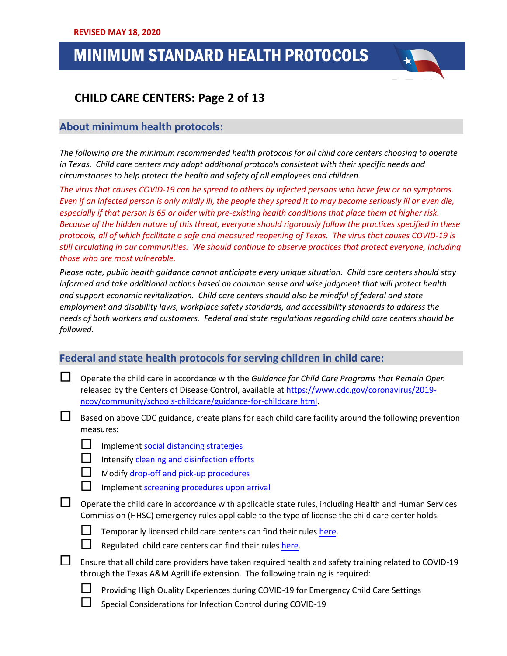## .<br>.. . .  **CHILD CARE CENTERS: Page 2 of 13**

### **About minimum health protocols:**

*The following are the minimum recommended health protocols for all child care centers choosing to operate in Texas. Child care centers may adopt additional protocols consistent with their specific needs and circumstances to help protect the health and safety of all employees and children.*

*The virus that causes COVID-19 can be spread to others by infected persons who have few or no symptoms. Even if an infected person is only mildly ill, the people they spread it to may become seriously ill or even die, especially if that person is 65 or older with pre-existing health conditions that place them at higher risk. Because of the hidden nature of this threat, everyone should rigorously follow the practices specified in these protocols, all of which facilitate a safe and measured reopening of Texas. The virus that causes COVID-19 is still circulating in our communities. We should continue to observe practices that protect everyone, including those who are most vulnerable.*

*Please note, public health guidance cannot anticipate every unique situation. Child care centers should stay informed and take additional actions based on common sense and wise judgment that will protect health and support economic revitalization. Child care centers should also be mindful of federal and state employment and disability laws, workplace safety standards, and accessibility standards to address the needs of both workers and customers. Federal and state regulations regarding child care centers should be followed.*

### **Federal and state health protocols for serving children in child care:**

- Operate the child care in accordance with the *Guidance for Child Care Programs that Remain Open* released by the Centers of Disease Control, available a[t https://www.cdc.gov/coronavirus/2019](https://www.cdc.gov/coronavirus/2019-ncov/community/schools-childcare/guidance-for-childcare.html) [ncov/community/schools-childcare/guidance-for-childcare.html.](https://www.cdc.gov/coronavirus/2019-ncov/community/schools-childcare/guidance-for-childcare.html)
- $\Box$  Based on above CDC guidance, create plans for each child care facility around the following prevention measures:
	- $\Box$  Implement [social distancing strategies](https://www.cdc.gov/coronavirus/2019-ncov/community/schools-childcare/guidance-for-childcare.html#SocialDistancing)
		- Intensif[y cleaning and disinfection efforts](https://www.cdc.gov/coronavirus/2019-ncov/community/schools-childcare/guidance-for-childcare.html#CleanDisinfect)
		- Modif[y drop-off and pick-up procedures](https://www.cdc.gov/coronavirus/2019-ncov/community/schools-childcare/guidance-for-childcare.html#pickup)
		- Implement [screening procedures upon](https://www.cdc.gov/coronavirus/2019-ncov/community/schools-childcare/guidance-for-childcare.html#ScreenChildren) arrival
- $\Box$  Operate the child care in accordance with applicable state rules, including Health and Human Services Commission (HHSC) emergency rules applicable to the type of license the child care center holds.



- $\Box$  Temporarily licensed child care centers can find their rule[s here.](https://hhs.texas.gov/sites/default/files/documents/services/health/coronavirus-covid-19/emergency-rule-establishing-new-temporary-emergency-child-care-permit.pdf)
	- Regulated child care centers can find their rules [here.](https://content.govdelivery.com/attachments/TXHHSC/2020/04/10/file_attachments/1424772/%C2%A7745.10001.%20Emergency%20Rule%20for%20Certain%20Day%20Care%20Operations%20in%20Response%20to%20COVID-19.pdf)
- Ensure that all child care providers have taken required health and safety training related to COVID-19 through the Texas A&M AgrilLife extension. The following training is required:
	- Providing High Quality Experiences during COVID-19 for Emergency Child Care Settings
	- Special Considerations for Infection Control during COVID-19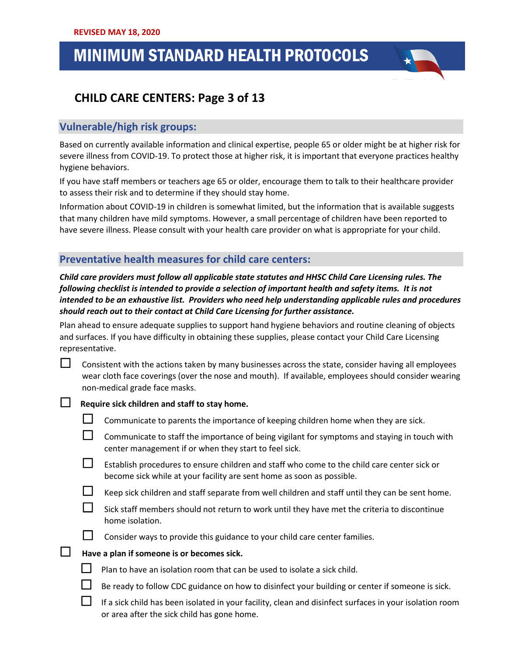## .<br>.. . .  **CHILD CARE CENTERS: Page 3 of 13**

### **Vulnerable/high risk groups:**

Based on currently available information and clinical expertise, people 65 or older might be at higher risk for severe illness from COVID-19. To protect those at higher risk, it is important that everyone practices healthy hygiene behaviors.

If you have staff members or teachers age 65 or older, encourage them to talk to their healthcare provider to assess their risk and to determine if they should stay home.

Information about COVID-19 in children is somewhat limited, but the information that is available suggests that many children have mild symptoms. However, a small percentage of children have been reported to have severe illness. Please consult with your health care provider on what is appropriate for your child.

### **Preventative health measures for child care centers:**

*Child care providers must follow all applicable state statutes and HHSC Child Care Licensing rules. The following checklist is intended to provide a selection of important health and safety items. It is not intended to be an exhaustive list. Providers who need help understanding applicable rules and procedures should reach out to their contact at Child Care Licensing for further assistance.* 

Plan ahead to ensure adequate supplies to support hand hygiene behaviors and routine cleaning of objects and surfaces. If you have difficulty in obtaining these supplies, please contact your Child Care Licensing representative.

| ∟ | Consistent with the actions taken by many businesses across the state, consider having all employees |
|---|------------------------------------------------------------------------------------------------------|
|   | wear cloth face coverings (over the nose and mouth). If available, employees should consider wearing |
|   | non-medical grade face masks.                                                                        |

#### **Require sick children and staff to stay home.**

- $\Box$  Communicate to parents the importance of keeping children home when they are sick.
- $\Box$  Communicate to staff the importance of being vigilant for symptoms and staying in touch with center management if or when they start to feel sick.
	- Establish procedures to ensure children and staff who come to the child care center sick or become sick while at your facility are sent home as soon as possible.
- $\Box$  Keep sick children and staff separate from well children and staff until they can be sent home.
- $\Box$  Sick staff members should not return to work until they have met the criteria to discontinue home isolation.
- 
- Consider ways to provide this guidance to your child care center families.

#### **Have a plan if someone is or becomes sick.**

- $\Box$  Plan to have an isolation room that can be used to isolate a sick child.
	- Be ready to follow CDC guidance on how to disinfect your building or center if someone is sick.
	- If a sick child has been isolated in your facility, clean and disinfect surfaces in your isolation room or area after the sick child has gone home.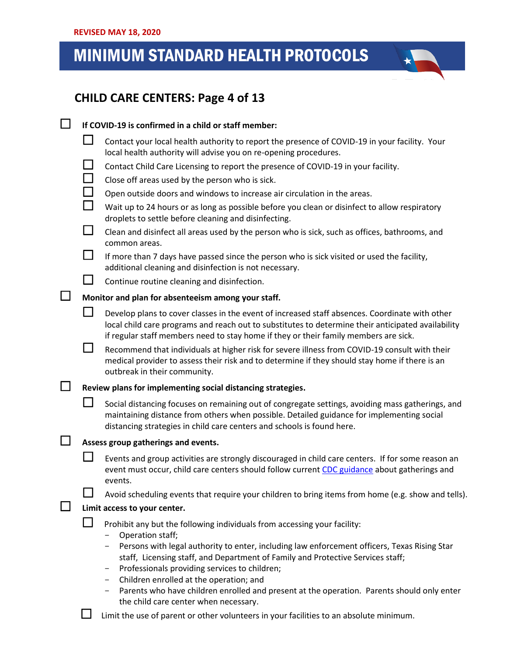## .<br>.. . .  **CHILD CARE CENTERS: Page 4 of 13**

|  |                                                    | If COVID-19 is confirmed in a child or staff member:                                                                                                                                                                                                                                                                                                                                                                                                                                                                    |  |  |
|--|----------------------------------------------------|-------------------------------------------------------------------------------------------------------------------------------------------------------------------------------------------------------------------------------------------------------------------------------------------------------------------------------------------------------------------------------------------------------------------------------------------------------------------------------------------------------------------------|--|--|
|  |                                                    | Contact your local health authority to report the presence of COVID-19 in your facility. Your<br>local health authority will advise you on re-opening procedures.                                                                                                                                                                                                                                                                                                                                                       |  |  |
|  | $\Box$                                             | Contact Child Care Licensing to report the presence of COVID-19 in your facility.                                                                                                                                                                                                                                                                                                                                                                                                                                       |  |  |
|  | $\overline{\phantom{a}}$                           | Close off areas used by the person who is sick.                                                                                                                                                                                                                                                                                                                                                                                                                                                                         |  |  |
|  | $\mathcal{L}_{\mathcal{A}}$                        | Open outside doors and windows to increase air circulation in the areas.                                                                                                                                                                                                                                                                                                                                                                                                                                                |  |  |
|  | $\mathcal{L}_{\mathcal{A}}$                        | Wait up to 24 hours or as long as possible before you clean or disinfect to allow respiratory<br>droplets to settle before cleaning and disinfecting.                                                                                                                                                                                                                                                                                                                                                                   |  |  |
|  | $\Box$                                             | Clean and disinfect all areas used by the person who is sick, such as offices, bathrooms, and<br>common areas.                                                                                                                                                                                                                                                                                                                                                                                                          |  |  |
|  | $\Box$                                             | If more than 7 days have passed since the person who is sick visited or used the facility,<br>additional cleaning and disinfection is not necessary.                                                                                                                                                                                                                                                                                                                                                                    |  |  |
|  | $\Box$                                             | Continue routine cleaning and disinfection.                                                                                                                                                                                                                                                                                                                                                                                                                                                                             |  |  |
|  | Monitor and plan for absenteeism among your staff. |                                                                                                                                                                                                                                                                                                                                                                                                                                                                                                                         |  |  |
|  |                                                    | Develop plans to cover classes in the event of increased staff absences. Coordinate with other<br>local child care programs and reach out to substitutes to determine their anticipated availability<br>if regular staff members need to stay home if they or their family members are sick.                                                                                                                                                                                                                            |  |  |
|  | $\blacksquare$                                     | Recommend that individuals at higher risk for severe illness from COVID-19 consult with their<br>medical provider to assess their risk and to determine if they should stay home if there is an<br>outbreak in their community.                                                                                                                                                                                                                                                                                         |  |  |
|  |                                                    | Review plans for implementing social distancing strategies.                                                                                                                                                                                                                                                                                                                                                                                                                                                             |  |  |
|  |                                                    | Social distancing focuses on remaining out of congregate settings, avoiding mass gatherings, and<br>maintaining distance from others when possible. Detailed guidance for implementing social<br>distancing strategies in child care centers and schools is found here.                                                                                                                                                                                                                                                 |  |  |
|  |                                                    | Assess group gatherings and events.                                                                                                                                                                                                                                                                                                                                                                                                                                                                                     |  |  |
|  |                                                    | Events and group activities are strongly discouraged in child care centers. If for some reason an<br>event must occur, child care centers should follow current CDC guidance about gatherings and<br>events.                                                                                                                                                                                                                                                                                                            |  |  |
|  |                                                    | Avoid scheduling events that require your children to bring items from home (e.g. show and tells).                                                                                                                                                                                                                                                                                                                                                                                                                      |  |  |
|  | Limit access to your center.                       |                                                                                                                                                                                                                                                                                                                                                                                                                                                                                                                         |  |  |
|  |                                                    | Prohibit any but the following individuals from accessing your facility:<br>Operation staff;<br>Persons with legal authority to enter, including law enforcement officers, Texas Rising Star<br>staff, Licensing staff, and Department of Family and Protective Services staff;<br>Professionals providing services to children;<br>-<br>Children enrolled at the operation; and<br>Parents who have children enrolled and present at the operation. Parents should only enter<br>the child care center when necessary. |  |  |

 $\Box$  Limit the use of parent or other volunteers in your facilities to an absolute minimum.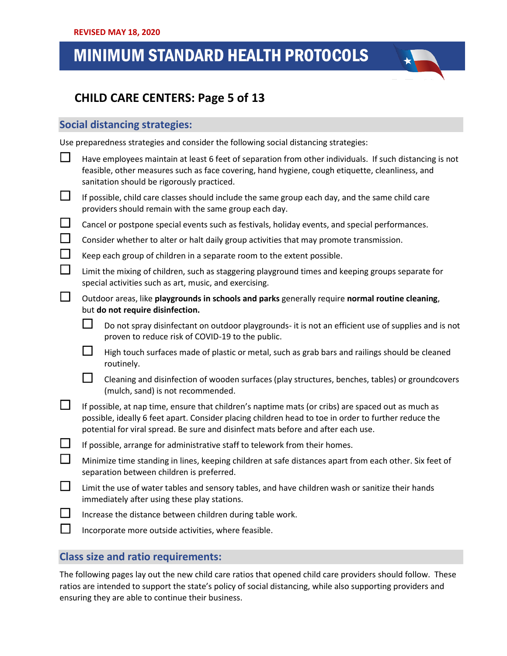## .<br>.. . .  **CHILD CARE CENTERS: Page 5 of 13**

### **Social distancing strategies:**

Use preparedness strategies and consider the following social distancing strategies:

| $\Box$   |                                                                                                                                                     | Have employees maintain at least 6 feet of separation from other individuals. If such distancing is not<br>feasible, other measures such as face covering, hand hygiene, cough etiquette, cleanliness, and<br>sanitation should be rigorously practiced.                                        |  |  |  |
|----------|-----------------------------------------------------------------------------------------------------------------------------------------------------|-------------------------------------------------------------------------------------------------------------------------------------------------------------------------------------------------------------------------------------------------------------------------------------------------|--|--|--|
| ப        |                                                                                                                                                     | If possible, child care classes should include the same group each day, and the same child care<br>providers should remain with the same group each day.                                                                                                                                        |  |  |  |
| $\Box$   |                                                                                                                                                     | Cancel or postpone special events such as festivals, holiday events, and special performances.                                                                                                                                                                                                  |  |  |  |
| $\Box$   | Consider whether to alter or halt daily group activities that may promote transmission.                                                             |                                                                                                                                                                                                                                                                                                 |  |  |  |
| $\Box$   | Keep each group of children in a separate room to the extent possible.                                                                              |                                                                                                                                                                                                                                                                                                 |  |  |  |
| $\Box$   |                                                                                                                                                     | Limit the mixing of children, such as staggering playground times and keeping groups separate for<br>special activities such as art, music, and exercising.                                                                                                                                     |  |  |  |
| $\Box$   |                                                                                                                                                     | Outdoor areas, like playgrounds in schools and parks generally require normal routine cleaning,<br>but do not require disinfection.                                                                                                                                                             |  |  |  |
|          |                                                                                                                                                     | Do not spray disinfectant on outdoor playgrounds- it is not an efficient use of supplies and is not<br>proven to reduce risk of COVID-19 to the public.                                                                                                                                         |  |  |  |
|          | $\mathbf{I}$                                                                                                                                        | High touch surfaces made of plastic or metal, such as grab bars and railings should be cleaned<br>routinely.                                                                                                                                                                                    |  |  |  |
|          | $\Box$                                                                                                                                              | Cleaning and disinfection of wooden surfaces (play structures, benches, tables) or groundcovers<br>(mulch, sand) is not recommended.                                                                                                                                                            |  |  |  |
| ப        |                                                                                                                                                     | If possible, at nap time, ensure that children's naptime mats (or cribs) are spaced out as much as<br>possible, ideally 6 feet apart. Consider placing children head to toe in order to further reduce the<br>potential for viral spread. Be sure and disinfect mats before and after each use. |  |  |  |
| $\Box$   | If possible, arrange for administrative staff to telework from their homes.                                                                         |                                                                                                                                                                                                                                                                                                 |  |  |  |
| $\Box$   | Minimize time standing in lines, keeping children at safe distances apart from each other. Six feet of<br>separation between children is preferred. |                                                                                                                                                                                                                                                                                                 |  |  |  |
| $\Box$   | Limit the use of water tables and sensory tables, and have children wash or sanitize their hands<br>immediately after using these play stations.    |                                                                                                                                                                                                                                                                                                 |  |  |  |
| $\sqcup$ |                                                                                                                                                     | Increase the distance between children during table work.                                                                                                                                                                                                                                       |  |  |  |
| $\Box$   |                                                                                                                                                     | Incorporate more outside activities, where feasible.                                                                                                                                                                                                                                            |  |  |  |

### **Class size and ratio requirements:**

The following pages lay out the new child care ratios that opened child care providers should follow. These ratios are intended to support the state's policy of social distancing, while also supporting providers and ensuring they are able to continue their business.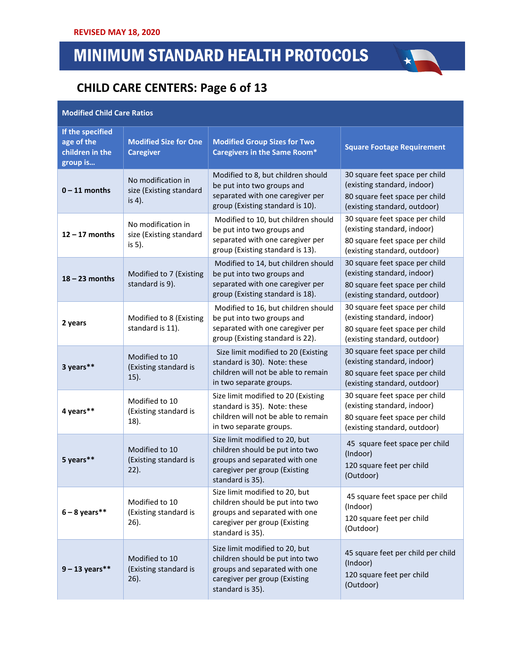## **CHILD CARE CENTERS: Page 6 of 13**

### **Modified Child Care Ratios**

| If the specified<br>age of the<br>children in the<br>group is | <b>Modified Size for One</b><br><b>Caregiver</b>        | <b>Modified Group Sizes for Two</b><br><b>Caregivers in the Same Room*</b>                                                                              | <b>Square Footage Requirement</b>                                                                                               |
|---------------------------------------------------------------|---------------------------------------------------------|---------------------------------------------------------------------------------------------------------------------------------------------------------|---------------------------------------------------------------------------------------------------------------------------------|
| $0 - 11$ months                                               | No modification in<br>size (Existing standard<br>is 4). | Modified to 8, but children should<br>be put into two groups and<br>separated with one caregiver per<br>group (Existing standard is 10).                | 30 square feet space per child<br>(existing standard, indoor)<br>80 square feet space per child<br>(existing standard, outdoor) |
| $12 - 17$ months                                              | No modification in<br>size (Existing standard<br>is 5). | Modified to 10, but children should<br>be put into two groups and<br>separated with one caregiver per<br>group (Existing standard is 13).               | 30 square feet space per child<br>(existing standard, indoor)<br>80 square feet space per child<br>(existing standard, outdoor) |
| $18 - 23$ months                                              | Modified to 7 (Existing<br>standard is 9).              | Modified to 14, but children should<br>be put into two groups and<br>separated with one caregiver per<br>group (Existing standard is 18).               | 30 square feet space per child<br>(existing standard, indoor)<br>80 square feet space per child<br>(existing standard, outdoor) |
| 2 years                                                       | Modified to 8 (Existing<br>standard is 11).             | Modified to 16, but children should<br>be put into two groups and<br>separated with one caregiver per<br>group (Existing standard is 22).               | 30 square feet space per child<br>(existing standard, indoor)<br>80 square feet space per child<br>(existing standard, outdoor) |
| 3 years**                                                     | Modified to 10<br>(Existing standard is<br>15).         | Size limit modified to 20 (Existing<br>standard is 30). Note: these<br>children will not be able to remain<br>in two separate groups.                   | 30 square feet space per child<br>(existing standard, indoor)<br>80 square feet space per child<br>(existing standard, outdoor) |
| 4 years**                                                     | Modified to 10<br>(Existing standard is<br>$18$ ).      | Size limit modified to 20 (Existing<br>standard is 35). Note: these<br>children will not be able to remain<br>in two separate groups.                   | 30 square feet space per child<br>(existing standard, indoor)<br>80 square feet space per child<br>(existing standard, outdoor) |
| 5 years**                                                     | Modified to 10<br>(Existing standard is<br>$22$ ).      | Size limit modified to 20, but<br>children should be put into two<br>groups and separated with one<br>caregiver per group (Existing<br>standard is 35). | 45 square feet space per child<br>(Indoor)<br>120 square feet per child<br>(Outdoor)                                            |
| $6 - 8$ years**                                               | Modified to 10<br>(Existing standard is<br>$26$ ).      | Size limit modified to 20, but<br>children should be put into two<br>groups and separated with one<br>caregiver per group (Existing<br>standard is 35). | 45 square feet space per child<br>(Indoor)<br>120 square feet per child<br>(Outdoor)                                            |
| $9 - 13$ years**                                              | Modified to 10<br>(Existing standard is<br>$26$ ).      | Size limit modified to 20, but<br>children should be put into two<br>groups and separated with one<br>caregiver per group (Existing<br>standard is 35). | 45 square feet per child per child<br>(Indoor)<br>120 square feet per child<br>(Outdoor)                                        |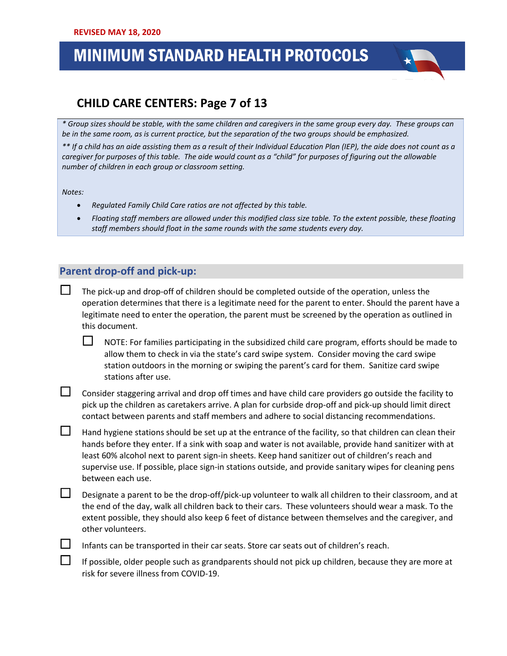## **CHILD CARE CENTERS: Page 7 of 13**

*\* Group sizes should be stable, with the same children and caregivers in the same group every day. These groups can be in the same room, as is current practice, but the separation of the two groups should be emphasized.* 

*\*\* If a child has an aide assisting them as a result of their Individual Education Plan (IEP), the aide does not count as a caregiver for purposes of this table. The aide would count as a "child" for purposes of figuring out the allowable number of children in each group or classroom setting.* 

*Notes:* 

- *Regulated Family Child Care ratios are not affected by this table.*
- *Floating staff members are allowed under this modified class size table. To the extent possible, these floating staff members should float in the same rounds with the same students every day.*

### **Parent drop-off and pick-up:**

 The pick-up and drop-off of children should be completed outside of the operation, unless the operation determines that there is a legitimate need for the parent to enter. Should the parent have a legitimate need to enter the operation, the parent must be screened by the operation as outlined in this document.

 $\Box$  NOTE: For families participating in the subsidized child care program, efforts should be made to allow them to check in via the state's card swipe system. Consider moving the card swipe station outdoors in the morning or swiping the parent's card for them. Sanitize card swipe stations after use.

Consider staggering arrival and drop off times and have child care providers go outside the facility to pick up the children as caretakers arrive. A plan for curbside drop-off and pick-up should limit direct contact between parents and staff members and adhere to social distancing recommendations.

 $\Box$  Hand hygiene stations should be set up at the entrance of the facility, so that children can clean their hands before they enter. If a sink with soap and water is not available, provide hand sanitizer with at least 60% alcohol next to parent sign-in sheets. Keep hand sanitizer out of children's reach and supervise use. If possible, place sign-in stations outside, and provide sanitary wipes for cleaning pens between each use.

Designate a parent to be the drop-off/pick-up volunteer to walk all children to their classroom, and at the end of the day, walk all children back to their cars. These volunteers should wear a mask. To the extent possible, they should also keep 6 feet of distance between themselves and the caregiver, and other volunteers.

Infants can be transported in their car seats. Store car seats out of children's reach.

 If possible, older people such as grandparents should not pick up children, because they are more at risk for severe illness from COVID-19.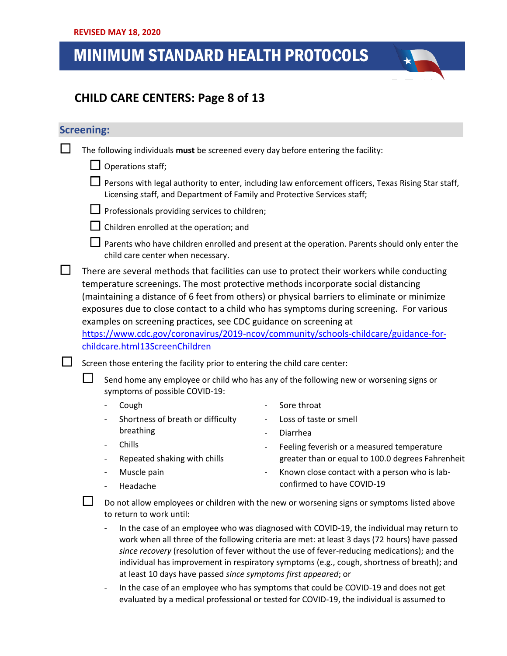## .<br>.. . .  **CHILD CARE CENTERS: Page 8 of 13**

### **Screening:**

| $\Box$ |  |  |  | The following individuals must be screened every day before entering the facility: |
|--------|--|--|--|------------------------------------------------------------------------------------|
|--------|--|--|--|------------------------------------------------------------------------------------|

 $\Box$  Operations staff;

 $\Box$  Persons with legal authority to enter, including law enforcement officers, Texas Rising Star staff, Licensing staff, and Department of Family and Protective Services staff;

- $\Box$  Professionals providing services to children;
- $\Box$  Children enrolled at the operation; and
- $\Box$  Parents who have children enrolled and present at the operation. Parents should only enter the child care center when necessary.
- $\Box$  There are several methods that facilities can use to protect their workers while conducting temperature screenings. The most protective methods incorporate social distancing (maintaining a distance of 6 feet from others) or physical barriers to eliminate or minimize exposures due to close contact to a child who has symptoms during screening. For various examples on screening practices, see CDC guidance on screening at

[https://www.cdc.gov/coronavirus/2019-ncov/community/schools-childcare/guidance-for](https://www.cdc.gov/coronavirus/2019-ncov/community/schools-childcare/guidance-for-childcare.html#ScreenChildren)[childcare.html13ScreenChildren](https://www.cdc.gov/coronavirus/2019-ncov/community/schools-childcare/guidance-for-childcare.html#ScreenChildren)

 $\Box$  Screen those entering the facility prior to entering the child care center:

 Send home any employee or child who has any of the following new or worsening signs or symptoms of possible COVID-19:

- Cough Shortness of breath or difficulty breathing - Chills - Repeated shaking with chills Muscle pain Sore throat Loss of taste or smell **Diarrhea** Feeling feverish or a measured temperature greater than or equal to 100.0 degrees Fahrenheit
	- Known close contact with a person who is labconfirmed to have COVID-19

- Headache

 Do not allow employees or children with the new or worsening signs or symptoms listed above to return to work until:

- In the case of an employee who was diagnosed with COVID-19, the individual may return to work when all three of the following criteria are met: at least 3 days (72 hours) have passed *since recovery* (resolution of fever without the use of fever-reducing medications); and the individual has improvement in respiratory symptoms (e.g., cough, shortness of breath); and at least 10 days have passed *since symptoms first appeared*; or
- In the case of an employee who has symptoms that could be COVID-19 and does not get evaluated by a medical professional or tested for COVID-19, the individual is assumed to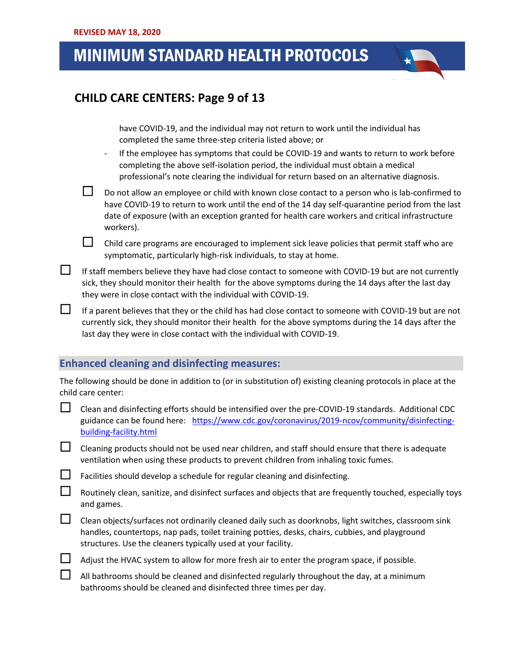## .<br>.. . .  **CHILD CARE CENTERS: Page 9 of 13**

have COVID-19, and the individual may not return to work until the individual has completed the same three-step criteria listed above; or

- If the employee has symptoms that could be COVID-19 and wants to return to work before completing the above self-isolation period, the individual must obtain a medical professional's note clearing the individual for return based on an alternative diagnosis.
- $\square$  Do not allow an employee or child with known close contact to a person who is lab-confirmed to have COVID-19 to return to work until the end of the 14 day self-quarantine period from the last date of exposure (with an exception granted for health care workers and critical infrastructure workers).

 $\Box$  Child care programs are encouraged to implement sick leave policies that permit staff who are symptomatic, particularly high-risk individuals, to stay at home.

If staff members believe they have had close contact to someone with COVID-19 but are not currently sick, they should monitor their health for the above symptoms during the 14 days after the last day they were in close contact with the individual with COVID-19.

If a parent believes that they or the child has had close contact to someone with COVID-19 but are not currently sick, they should monitor their health for the above symptoms during the 14 days after the last day they were in close contact with the individual with COVID-19.

### **Enhanced cleaning and disinfecting measures:**

The following should be done in addition to (or in substitution of) existing cleaning protocols in place at the child care center:

- $\Box$  Clean and disinfecting efforts should be intensified over the pre-COVID-19 standards. Additional CDC guidance can be found here: [https://www.cdc.gov/coronavirus/2019-ncov/community/disinfecting](https://www.cdc.gov/coronavirus/2019-ncov/community/disinfecting-building-facility.html)[building-facility.html](https://www.cdc.gov/coronavirus/2019-ncov/community/disinfecting-building-facility.html)
- $\Box$  Cleaning products should not be used near children, and staff should ensure that there is adequate ventilation when using these products to prevent children from inhaling toxic fumes.
- $\Box$  Facilities should develop a schedule for regular cleaning and disinfecting.
	- Routinely clean, sanitize, and disinfect surfaces and objects that are frequently touched, especially toys and games.
- $\Box$  Clean objects/surfaces not ordinarily cleaned daily such as doorknobs, light switches, classroom sink handles, countertops, nap pads, toilet training potties, desks, chairs, cubbies, and playground structures. Use the cleaners typically used at your facility.
- $\Box$  Adjust the HVAC system to allow for more fresh air to enter the program space, if possible.
	- All bathrooms should be cleaned and disinfected regularly throughout the day, at a minimum bathrooms should be cleaned and disinfected three times per day.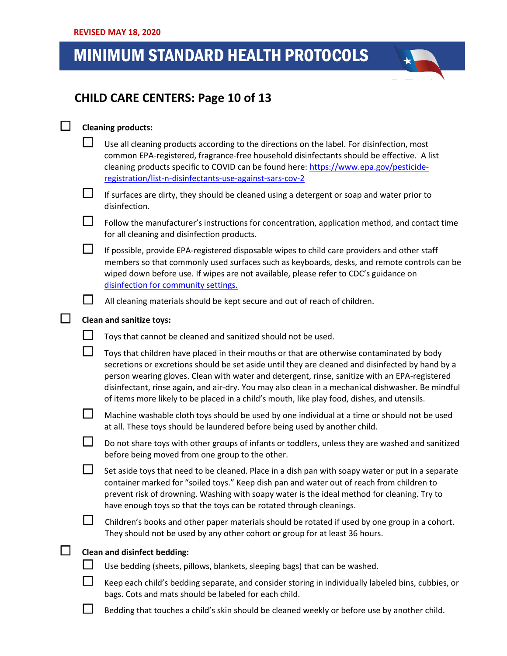## .<br>.. . .  **CHILD CARE CENTERS: Page 10 of 13**

#### **Cleaning products:**

|        | Use all cleaning products according to the directions on the label. For disinfection, most<br>common EPA-registered, fragrance-free household disinfectants should be effective. A list<br>cleaning products specific to COVID can be found here: https://www.epa.gov/pesticide-<br>registration/list-n-disinfectants-use-against-sars-cov-2                                                                                                                                                       |  |  |  |
|--------|----------------------------------------------------------------------------------------------------------------------------------------------------------------------------------------------------------------------------------------------------------------------------------------------------------------------------------------------------------------------------------------------------------------------------------------------------------------------------------------------------|--|--|--|
|        | If surfaces are dirty, they should be cleaned using a detergent or soap and water prior to<br>disinfection.                                                                                                                                                                                                                                                                                                                                                                                        |  |  |  |
|        | Follow the manufacturer's instructions for concentration, application method, and contact time<br>for all cleaning and disinfection products.                                                                                                                                                                                                                                                                                                                                                      |  |  |  |
| $\Box$ | If possible, provide EPA-registered disposable wipes to child care providers and other staff<br>members so that commonly used surfaces such as keyboards, desks, and remote controls can be<br>wiped down before use. If wipes are not available, please refer to CDC's guidance on<br>disinfection for community settings.                                                                                                                                                                        |  |  |  |
|        | All cleaning materials should be kept secure and out of reach of children.                                                                                                                                                                                                                                                                                                                                                                                                                         |  |  |  |
|        | <b>Clean and sanitize toys:</b>                                                                                                                                                                                                                                                                                                                                                                                                                                                                    |  |  |  |
|        | Toys that cannot be cleaned and sanitized should not be used.                                                                                                                                                                                                                                                                                                                                                                                                                                      |  |  |  |
|        | Toys that children have placed in their mouths or that are otherwise contaminated by body<br>secretions or excretions should be set aside until they are cleaned and disinfected by hand by a<br>person wearing gloves. Clean with water and detergent, rinse, sanitize with an EPA-registered<br>disinfectant, rinse again, and air-dry. You may also clean in a mechanical dishwasher. Be mindful<br>of items more likely to be placed in a child's mouth, like play food, dishes, and utensils. |  |  |  |
|        | Machine washable cloth toys should be used by one individual at a time or should not be used<br>at all. These toys should be laundered before being used by another child.                                                                                                                                                                                                                                                                                                                         |  |  |  |
|        | Do not share toys with other groups of infants or toddlers, unless they are washed and sanitized<br>before being moved from one group to the other.                                                                                                                                                                                                                                                                                                                                                |  |  |  |
|        | Set aside toys that need to be cleaned. Place in a dish pan with soapy water or put in a separate<br>container marked for "soiled toys." Keep dish pan and water out of reach from children to                                                                                                                                                                                                                                                                                                     |  |  |  |

prevent risk of drowning. Washing with soapy water is the ideal method for cleaning. Try to have enough toys so that the toys can be rotated through cleanings.

 $\Box$  Children's books and other paper materials should be rotated if used by one group in a cohort. They should not be used by any other cohort or group for at least 36 hours.

### **Clean and disinfect bedding:**

 $\Box$  Use bedding (sheets, pillows, blankets, sleeping bags) that can be washed.

 $\Box$  Keep each child's bedding separate, and consider storing in individually labeled bins, cubbies, or bags. Cots and mats should be labeled for each child.

 $\Box$  Bedding that touches a child's skin should be cleaned weekly or before use by another child.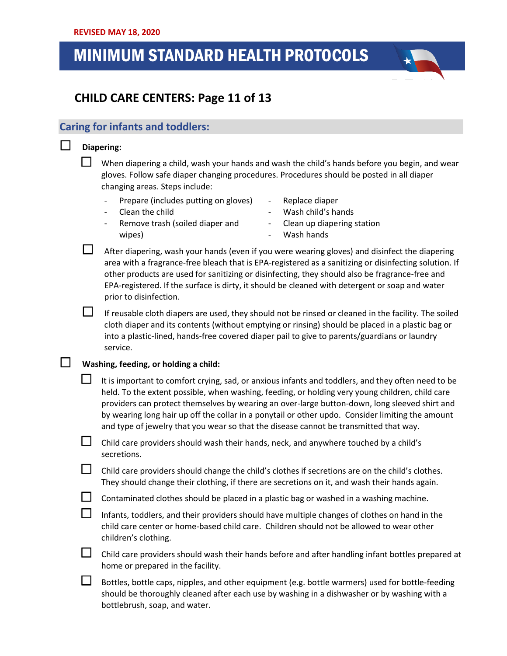## .<br>.. . .  **CHILD CARE CENTERS: Page 11 of 13**

### **Caring for infants and toddlers:**

### **Diapering:**

 When diapering a child, wash your hands and wash the child's hands before you begin, and wear gloves. Follow safe diaper changing procedures. Procedures should be posted in all diaper changing areas. Steps include:

- Prepare (includes putting on gloves)
- Clean the child
- Remove trash (soiled diaper and wipes)
- Replace diaper
- Wash child's hands - Clean up diapering station
- Wash hands

 $\Box$  After diapering, wash your hands (even if you were wearing gloves) and disinfect the diapering area with a fragrance-free bleach that is EPA-registered as a sanitizing or disinfecting solution. If other products are used for sanitizing or disinfecting, they should also be fragrance-free and EPA-registered. If the surface is dirty, it should be cleaned with detergent or soap and water prior to disinfection.

If reusable cloth diapers are used, they should not be rinsed or cleaned in the facility. The soiled cloth diaper and its contents (without emptying or rinsing) should be placed in a plastic bag or into a plastic-lined, hands-free covered diaper pail to give to parents/guardians or laundry service.

#### **Washing, feeding, or holding a child:**

 It is important to comfort crying, sad, or anxious infants and toddlers, and they often need to be held. To the extent possible, when washing, feeding, or holding very young children, child care providers can protect themselves by wearing an over-large button-down, long sleeved shirt and by wearing long hair up off the collar in a ponytail or other updo. Consider limiting the amount and type of jewelry that you wear so that the disease cannot be transmitted that way.

 $\Box$  Child care providers should wash their hands, neck, and anywhere touched by a child's secretions.

 $\Box$  Child care providers should change the child's clothes if secretions are on the child's clothes. They should change their clothing, if there are secretions on it, and wash their hands again.

 $\Box$  Contaminated clothes should be placed in a plastic bag or washed in a washing machine.

Infants, toddlers, and their providers should have multiple changes of clothes on hand in the child care center or home-based child care. Children should not be allowed to wear other children's clothing.

 $\Box$  Child care providers should wash their hands before and after handling infant bottles prepared at home or prepared in the facility.

 $\Box$  Bottles, bottle caps, nipples, and other equipment (e.g. bottle warmers) used for bottle-feeding should be thoroughly cleaned after each use by washing in a dishwasher or by washing with a bottlebrush, soap, and water.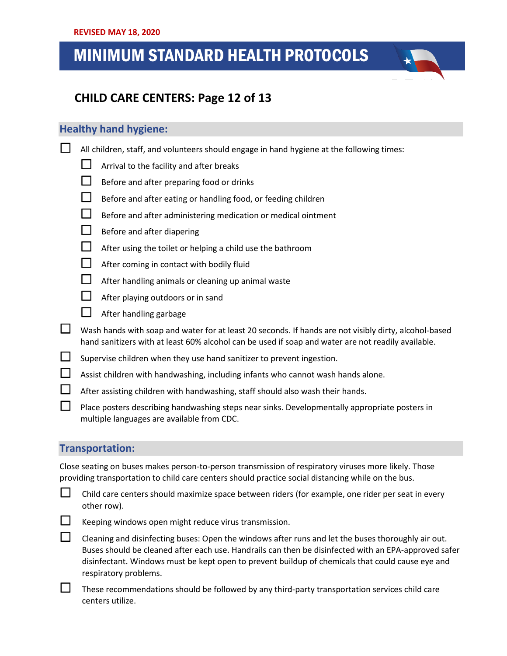## .<br>.. . .  **CHILD CARE CENTERS: Page 12 of 13**

### **Healthy hand hygiene:**

- $\Box$  All children, staff, and volunteers should engage in hand hygiene at the following times:
	- $\Box$  Arrival to the facility and after breaks
	- $\Box$  Before and after preparing food or drinks
	- $\Box$  Before and after eating or handling food, or feeding children
	- $\Box$  Before and after administering medication or medical ointment
	- $\Box$  Before and after diapering
	- $\Box$  After using the toilet or helping a child use the bathroom
	- $\Box$  After coming in contact with bodily fluid
	- $\Box$  After handling animals or cleaning up animal waste
	- $\Box$  After playing outdoors or in sand
	- $\Box$  After handling garbage
- $\Box$  Wash hands with soap and water for at least 20 seconds. If hands are not visibly dirty, alcohol-based hand sanitizers with at least 60% alcohol can be used if soap and water are not readily available.
- $\Box$  Supervise children when they use hand sanitizer to prevent ingestion.
- $\Box$  Assist children with handwashing, including infants who cannot wash hands alone.
- $\Box$  After assisting children with handwashing, staff should also wash their hands.
- Place posters describing handwashing steps near sinks. Developmentally appropriate posters in multiple languages are available from CDC.

#### **Transportation:**

Close seating on buses makes person-to-person transmission of respiratory viruses more likely. Those providing transportation to child care centers should practice social distancing while on the bus.

 $\Box$  Child care centers should maximize space between riders (for example, one rider per seat in every other row).



 $\Box$  Keeping windows open might reduce virus transmission.

 $\Box$  Cleaning and disinfecting buses: Open the windows after runs and let the buses thoroughly air out. Buses should be cleaned after each use. Handrails can then be disinfected with an EPA-approved safer disinfectant. Windows must be kept open to prevent buildup of chemicals that could cause eye and respiratory problems.

 These recommendations should be followed by any third-party transportation services child care centers utilize.